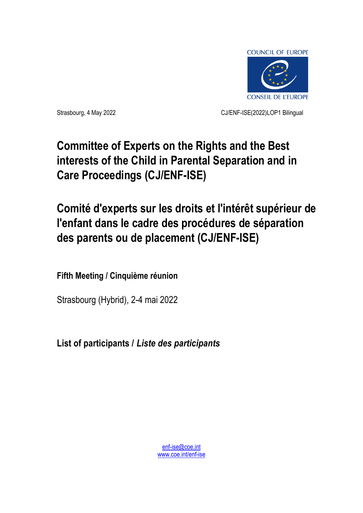

Strasbourg, 4 May 2022 CJ/ENF-ISE(2022)LOP1 Bilingual

# **Committee of Experts on the Rights and the Best interests of the Child in Parental Separation and in Care Proceedings (CJ/ENF-ISE)**

# **Comité d'experts sur les droits et l'intérêt supérieur de l'enfant dans le cadre des procédures de séparation des parents ou de placement (CJ/ENF-ISE)**

**Fifth Meeting / Cinquième réunion**

Strasbourg (Hybrid), 2-4 mai 2022

**List of participants /** *Liste des participants*

[enf-ise@coe.int](mailto:enf-ise@coe.int) [www.coe.int/enf-ise](http://www.coe.int/cdenf)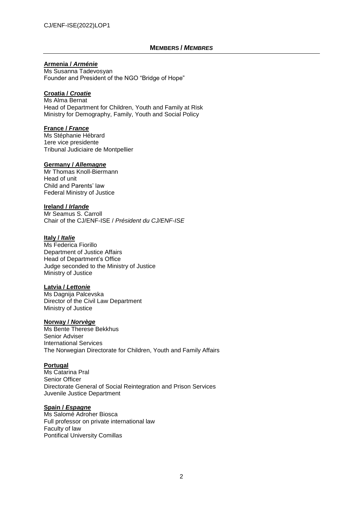## **MEMBERS /** *MEMBRES*

## **Armenia /** *Arménie*

Ms Susanna Tadevosyan Founder and President of the NGO "Bridge of Hope"

## **Croatia /** *Croatie*

Ms Alma Bernat Head of Department for Children, Youth and Family at Risk Ministry for Demography, Family, Youth and Social Policy

#### **France /** *France*

Ms Stéphanie Hébrard 1ere vice presidente Tribunal Judiciaire de Montpellier

#### **Germany /** *Allemagne*

Mr Thomas Knoll-Biermann Head of unit Child and Parents' law Federal Ministry of Justice

#### **Ireland /** *Irlande*

Mr Seamus S. Carroll Chair of the CJ/ENF-ISE / *Président du CJ/ENF-ISE*

# **Italy /** *Italie*

Ms Federica Fiorillo Department of Justice Affairs Head of Department's Office Judge seconded to the Ministry of Justice Ministry of Justice

## **Latvia /** *Lettonie*

Ms Dagnija Palcevska Director of the Civil Law Department Ministry of Justice

#### **Norway /** *Norvège*

Ms Bente Therese Bekkhus Senior Adviser International Services The Norwegian Directorate for Children, Youth and Family Affairs

## **Portugal**

Ms Catarina Pral Senior Officer Directorate General of Social Reintegration and Prison Services Juvenile Justice Department

## **Spain /** *Espagne*

Ms Salomé Adroher Biosca Full professor on private international law Faculty of law Pontifical University Comillas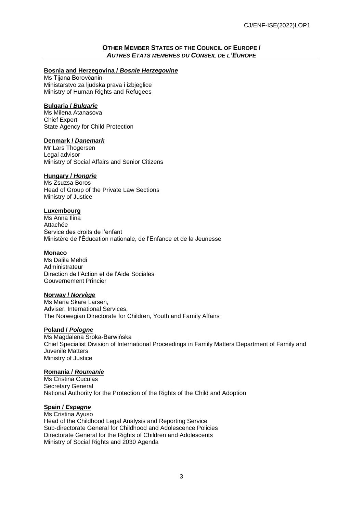## **OTHER MEMBER STATES OF THE COUNCIL OF EUROPE /** *AUTRES ETATS MEMBRES DU CONSEIL DE L'EUROPE*

## **Bosnia and Herzegovina /** *Bosnie Herzegovine*

Ms Tijana Borovčanin Ministarstvo za ljudska prava i izbjeglice Ministry of Human Rights and Refugees

## **Bulgaria /** *Bulgarie*

Ms Milena Atanasova Chief Expert State Agency for Child Protection

## **Denmark /** *Danemark*

Mr Lars Thogersen Legal advisor Ministry of Social Affairs and Senior Citizens

#### **Hungary /** *Hongrie*

Ms Zsuzsa Boros Head of Group of the Private Law Sections Ministry of Justice

## **Luxembourg**

Ms Anna Ilina Attachée Service des droits de l'enfant Ministère de l'Éducation nationale, de l'Enfance et de la Jeunesse

#### **Monaco**

Ms Dalila Mehdi Administrateur Direction de l'Action et de l'Aide Sociales Gouvernement Princier

#### **Norway /** *Norvège*

Ms Maria Skare Larsen, Adviser, International Services, The Norwegian Directorate for Children, Youth and Family Affairs

## **Poland /** *Pologne*

Ms Magdalena Sroka-Barwińska Chief Specialist Division of International Proceedings in Family Matters Department of Family and Juvenile Matters Ministry of Justice

## **Romania /** *Roumanie*

Ms Cristina Cuculas Secretary General National Authority for the Protection of the Rights of the Child and Adoption

# **Spain /** *Espagne*

Ms Cristina Ayuso Head of the Childhood Legal Analysis and Reporting Service Sub-directorate General for Childhood and Adolescence Policies Directorate General for the Rights of Children and Adolescents Ministry of Social Rights and 2030 Agenda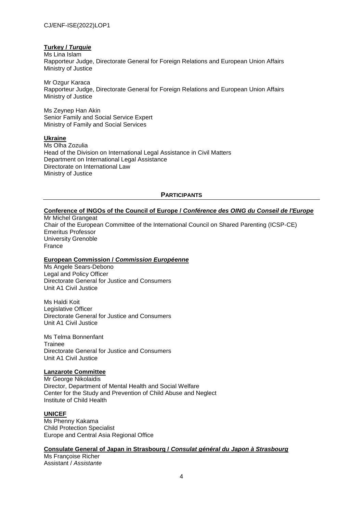## **Turkey /** *Turquie*

Ms Lina Islam Rapporteur Judge, Directorate General for Foreign Relations and European Union Affairs Ministry of Justice

Mr Ozgur Karaca Rapporteur Judge, Directorate General for Foreign Relations and European Union Affairs Ministry of Justice

Ms Zeynep Han Akin Senior Family and Social Service Expert Ministry of Family and Social Services

#### **Ukraine**

Ms Olha Zozulia Head of the Division on International Legal Assistance in Civil Matters Department on International Legal Assistance Directorate on International Law Ministry of Justice

## **PARTICIPANTS**

# **Conference of INGOs of the Council of Europe /** *Conférence des OING du Conseil de l'Europe*

Mr Michel Grangeat Chair of the European Committee of the International Council on Shared Parenting (ICSP-CE) Emeritus Professor University Grenoble France

#### **European Commission /** *Commission Européenne*

Ms Angele Sears-Debono Legal and Policy Officer Directorate General for Justice and Consumers Unit A1 Civil Justice

Ms Haldi Koit Legislative Officer Directorate General for Justice and Consumers Unit A1 Civil Justice

Ms Telma Bonnenfant **Trainee** Directorate General for Justice and Consumers Unit A1 Civil Justice

#### **Lanzarote Committee**

Mr George Nikolaidis Director, Department of Mental Health and Social Welfare Center for the Study and Prevention of Child Abuse and Neglect Institute of Child Health

## **UNICEF**

Ms Phenny Kakama Child Protection Specialist Europe and Central Asia Regional Office

#### **Consulate General of Japan in Strasbourg /** *Consulat général du Japon à Strasbourg*

Ms Françoise Richer Assistant / *Assistante*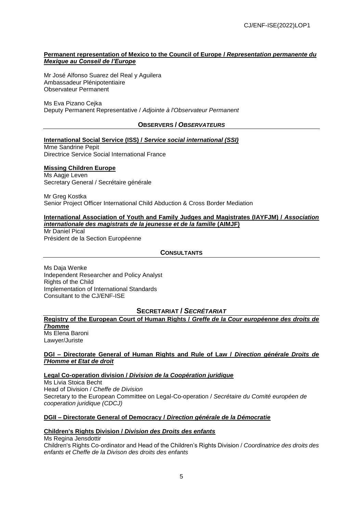## **Permanent representation of Mexico to the Council of Europe /** *Representation permanente du Mexique au Conseil de l'Europe*

Mr José Alfonso Suarez del Real y Aguilera Ambassadeur Plénipotentiaire Observateur Permanent

#### Ms Eva Pizano Cejka Deputy Permanent Representative / *Adjointe à l'Observateur Permanent*

## **OBSERVERS /** *OBSERVATEURS*

**International Social Service (ISS) /** *Service social international (SSI)*

Mme Sandrine Pepit Directrice Service Social International France

#### **Missing Children Europe**

Ms Aagje Leven Secretary General / Secrétaire générale

Mr Greg Kostka Senior Project Officer International Child Abduction & Cross Border Mediation

#### **International Association of Youth and Family Judges and Magistrates (IAYFJM) /** *Association internationale des magistrats de la jeunesse et de la famille* **(AIMJF)**

Mr Daniel Pical Président de la Section Européenne

## **CONSULTANTS**

Ms Daja Wenke Independent Researcher and Policy Analyst Rights of the Child Implementation of International Standards Consultant to the CJ/ENF-ISE

## **SECRETARIAT /** *SECRÉTARIAT*

# **Registry of the European Court of Human Rights /** *Greffe de la Cour européenne des droits de l'homme*

Ms Elena Baroni Lawyer/Juriste

## **DGI – Directorate General of Human Rights and Rule of Law /** *Direction générale Droits de l'Homme et Etat de droit*

## **Legal Co-operation division /** *Division de la Coopération juridique*

Ms Livia Stoica Becht Head of Division / *Cheffe de Division* Secretary to the European Committee on Legal-Co-operation / *Secrétaire du Comité européen de cooperation juridique (CDCJ)*

## **DGII – Directorate General of Democracy /** *Direction générale de la Démocratie*

## **Children's Rights Division /** *Division des Droits des enfants*

Ms Regina Jensdottir Children's Rights Co-ordinator and Head of the Children's Rights Division / *Coordinatrice des droits des enfants et Cheffe de la Divison des droits des enfants*